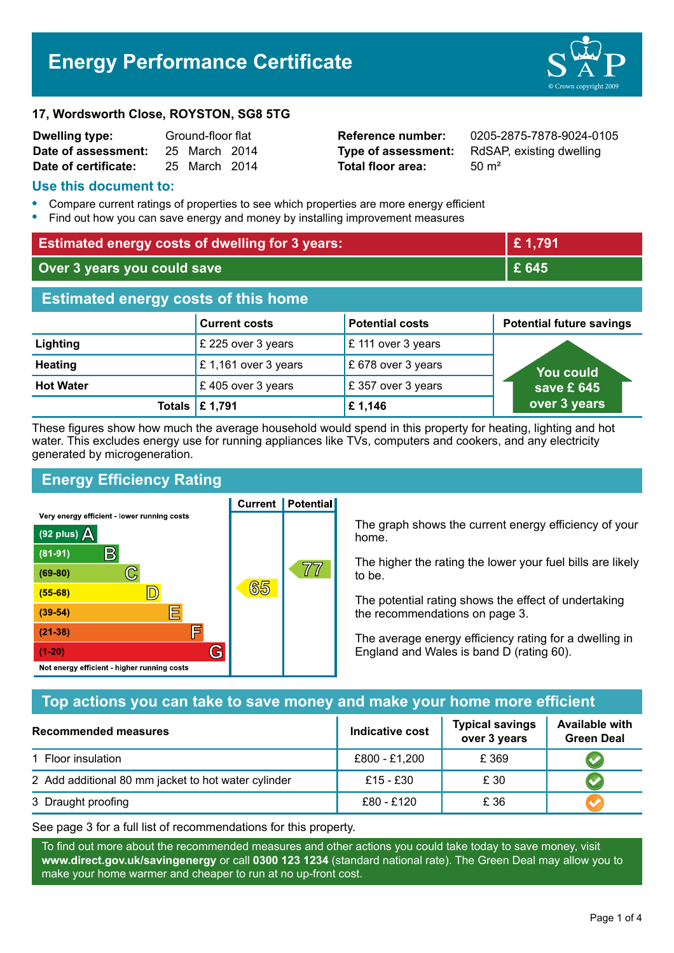# **Energy Performance Certificate**



#### **17, Wordsworth Close, ROYSTON, SG8 5TG**

| Dwelling type:       | Ground-floor flat |               |  |
|----------------------|-------------------|---------------|--|
| Date of assessment:  |                   | 25 March 2014 |  |
| Date of certificate: |                   | 25 March 2014 |  |

**Total floor area:** 50 m<sup>2</sup>

**Reference number:** 0205-2875-7878-9024-0105 **Type of assessment:** RdSAP, existing dwelling

#### **Use this document to:**

- **•** Compare current ratings of properties to see which properties are more energy efficient
- **•** Find out how you can save energy and money by installing improvement measures

| <b>Estimated energy costs of dwelling for 3 years:</b> |                      | £1,791                 |                                 |  |
|--------------------------------------------------------|----------------------|------------------------|---------------------------------|--|
| Over 3 years you could save                            |                      | £ 645                  |                                 |  |
| <b>Estimated energy costs of this home</b>             |                      |                        |                                 |  |
|                                                        | <b>Current costs</b> | <b>Potential costs</b> | <b>Potential future savings</b> |  |
| Lighting                                               | £ 225 over 3 years   | £ 111 over 3 years     |                                 |  |
| <b>Heating</b>                                         | £1,161 over 3 years  | £ 678 over 3 years     | <b>You could</b>                |  |
| <b>Hot Water</b>                                       | £405 over 3 years    | £357 over 3 years      | save £ 645                      |  |
| <b>Totals</b>                                          | £1,791               | £1,146                 | over 3 years                    |  |

These figures show how much the average household would spend in this property for heating, lighting and hot water. This excludes energy use for running appliances like TVs, computers and cookers, and any electricity generated by microgeneration.

**Current | Potential** 

# **Energy Efficiency Rating**

Very energy efficient - lower running costs



The graph shows the current energy efficiency of your home.

The higher the rating the lower your fuel bills are likely to be.

The potential rating shows the effect of undertaking the recommendations on page 3.

The average energy efficiency rating for a dwelling in England and Wales is band D (rating 60).

## **Top actions you can take to save money and make your home more efficient**

| Recommended measures                                | Indicative cost | <b>Typical savings</b><br>over 3 years | <b>Available with</b><br><b>Green Deal</b> |
|-----------------------------------------------------|-----------------|----------------------------------------|--------------------------------------------|
| 1 Floor insulation                                  | £800 - £1,200   | £ 369                                  |                                            |
| 2 Add additional 80 mm jacket to hot water cylinder | £15 - £30       | £ 30                                   |                                            |
| 3 Draught proofing                                  | £80 - £120      | £ 36                                   |                                            |

See page 3 for a full list of recommendations for this property.

To find out more about the recommended measures and other actions you could take today to save money, visit **www.direct.gov.uk/savingenergy** or call **0300 123 1234** (standard national rate). The Green Deal may allow you to make your home warmer and cheaper to run at no up-front cost.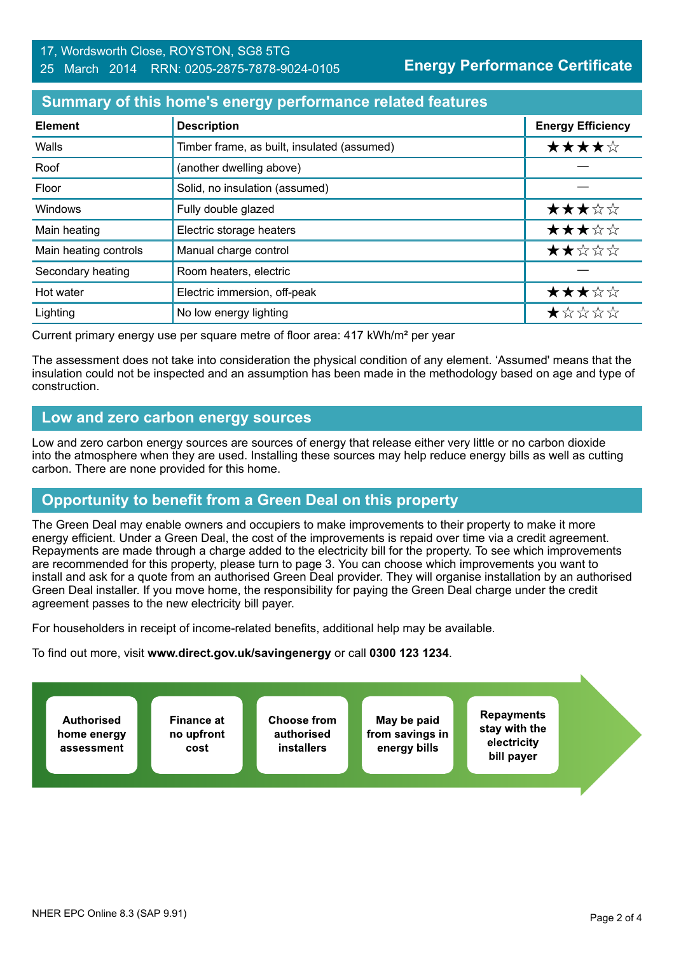#### 17, Wordsworth Close, ROYSTON, SG8 5TG 25 March 2014 RRN: 0205-2875-7878-9024-0105

**Energy Performance Certificate**

## **Summary of this home's energy performance related features**

| <b>Element</b>        | <b>Description</b>                          | <b>Energy Efficiency</b> |
|-----------------------|---------------------------------------------|--------------------------|
| Walls                 | Timber frame, as built, insulated (assumed) | ★★★★☆                    |
| Roof                  | (another dwelling above)                    |                          |
| Floor                 | Solid, no insulation (assumed)              |                          |
| Windows               | Fully double glazed                         | ★★★☆☆                    |
| Main heating          | Electric storage heaters                    | ★★★☆☆                    |
| Main heating controls | Manual charge control                       | ★★☆☆☆                    |
| Secondary heating     | Room heaters, electric                      |                          |
| Hot water             | Electric immersion, off-peak                | ★★★☆☆                    |
| Lighting              | No low energy lighting                      | $\star$ * * * *          |

Current primary energy use per square metre of floor area: 417 kWh/m² per year

The assessment does not take into consideration the physical condition of any element. 'Assumed' means that the insulation could not be inspected and an assumption has been made in the methodology based on age and type of construction.

### **Low and zero carbon energy sources**

Low and zero carbon energy sources are sources of energy that release either very little or no carbon dioxide into the atmosphere when they are used. Installing these sources may help reduce energy bills as well as cutting carbon. There are none provided for this home.

# **Opportunity to benefit from a Green Deal on this property**

The Green Deal may enable owners and occupiers to make improvements to their property to make it more energy efficient. Under a Green Deal, the cost of the improvements is repaid over time via a credit agreement. Repayments are made through a charge added to the electricity bill for the property. To see which improvements are recommended for this property, please turn to page 3. You can choose which improvements you want to install and ask for a quote from an authorised Green Deal provider. They will organise installation by an authorised Green Deal installer. If you move home, the responsibility for paying the Green Deal charge under the credit agreement passes to the new electricity bill payer.

For householders in receipt of income-related benefits, additional help may be available.

To find out more, visit **www.direct.gov.uk/savingenergy** or call **0300 123 1234**.

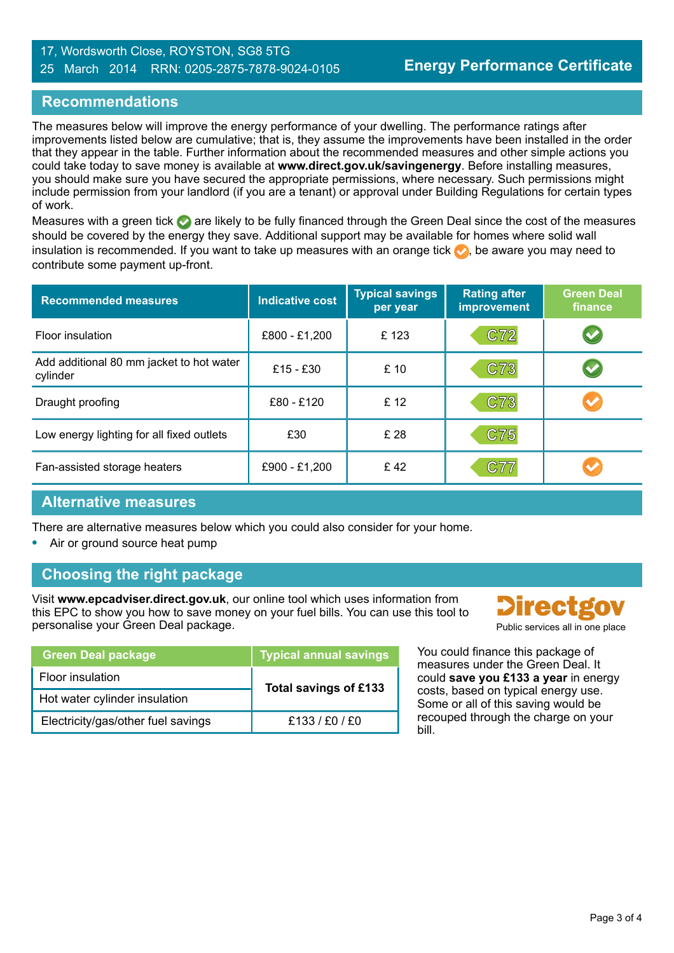#### 17, Wordsworth Close, ROYSTON, SG8 5TG 25 March 2014 RRN: 0205-2875-7878-9024-0105

# **Recommendations**

The measures below will improve the energy performance of your dwelling. The performance ratings after improvements listed below are cumulative; that is, they assume the improvements have been installed in the order that they appear in the table. Further information about the recommended measures and other simple actions you could take today to save money is available at **www.direct.gov.uk/savingenergy**. Before installing measures, you should make sure you have secured the appropriate permissions, where necessary. Such permissions might include permission from your landlord (if you are a tenant) or approval under Building Regulations for certain types of work.

Measures with a green tick are likely to be fully financed through the Green Deal since the cost of the measures should be covered by the energy they save. Additional support may be available for homes where solid wall insulation is recommended. If you want to take up measures with an orange tick  $\bullet$ , be aware you may need to contribute some payment up-front.

| <b>Recommended measures</b>                          | <b>Indicative cost</b> | <b>Typical savings</b><br>per year | <b>Rating after</b><br>improvement | <b>Green Deal</b><br>finance |
|------------------------------------------------------|------------------------|------------------------------------|------------------------------------|------------------------------|
| Floor insulation                                     | £800 - £1,200          | £123                               | C72                                |                              |
| Add additional 80 mm jacket to hot water<br>cylinder | £15 - £30              | £10                                | C73                                |                              |
| Draught proofing                                     | £80 - £120             | £ 12                               | C73                                |                              |
| Low energy lighting for all fixed outlets            | £30                    | £ 28                               | C75                                |                              |
| Fan-assisted storage heaters                         | £900 - £1,200          | £42                                | C77                                |                              |

#### **Alternative measures**

There are alternative measures below which you could also consider for your home.

**•** Air or ground source heat pump

# **Choosing the right package**

Visit **www.epcadviser.direct.gov.uk**, our online tool which uses information from this EPC to show you how to save money on your fuel bills. You can use this tool to personalise your Green Deal package. **Public services** all in one place

| <b>Green Deal package</b>          | <b>Typical annual savings</b> |  |
|------------------------------------|-------------------------------|--|
| Floor insulation                   | Total savings of £133         |  |
| Hot water cylinder insulation      |                               |  |
| Electricity/gas/other fuel savings | £133/£0/£0                    |  |



You could finance this package of measures under the Green Deal. It could **save you £133 a year** in energy costs, based on typical energy use. Some or all of this saving would be recouped through the charge on your bill.